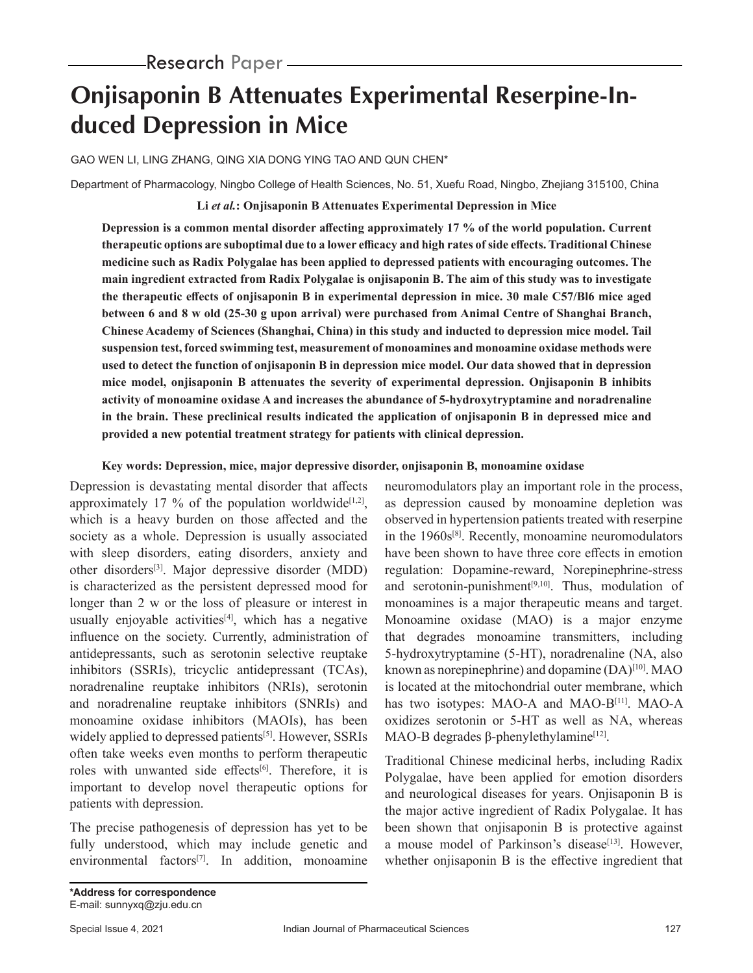# **Onjisaponin B Attenuates Experimental Reserpine-Induced Depression in Mice**

GAO WEN LI, LING ZHANG, QING XIA DONG YING TAO AND QUN CHEN\*

Department of Pharmacology, Ningbo College of Health Sciences, No. 51, Xuefu Road, Ningbo, Zhejiang 315100, China

**Li** *et al.***: Onjisaponin B Attenuates Experimental Depression in Mice**

**Depression is a common mental disorder affecting approximately 17 % of the world population. Current therapeutic options are suboptimal due to a lower efficacy and high rates of side effects. Traditional Chinese medicine such as Radix Polygalae has been applied to depressed patients with encouraging outcomes. The main ingredient extracted from Radix Polygalae is onjisaponin B. The aim of this study was to investigate the therapeutic effects of onjisaponin B in experimental depression in mice. 30 male C57/Bl6 mice aged between 6 and 8 w old (25-30 g upon arrival) were purchased from Animal Centre of Shanghai Branch, Chinese Academy of Sciences (Shanghai, China) in this study and inducted to depression mice model. Tail suspension test, forced swimming test, measurement of monoamines and monoamine oxidase methods were used to detect the function of onjisaponin B in depression mice model. Our data showed that in depression mice model, onjisaponin B attenuates the severity of experimental depression. Onjisaponin B inhibits activity of monoamine oxidase A and increases the abundance of 5-hydroxytryptamine and noradrenaline in the brain. These preclinical results indicated the application of onjisaponin B in depressed mice and provided a new potential treatment strategy for patients with clinical depression.**

#### **Key words: Depression, mice, major depressive disorder, onjisaponin B, monoamine oxidase**

Depression is devastating mental disorder that affects approximately 17 % of the population worldwide<sup>[1,2]</sup>, which is a heavy burden on those affected and the society as a whole. Depression is usually associated with sleep disorders, eating disorders, anxiety and other disorders[3]. Major depressive disorder (MDD) is characterized as the persistent depressed mood for longer than 2 w or the loss of pleasure or interest in usually enjoyable activities<sup>[4]</sup>, which has a negative influence on the society. Currently, administration of antidepressants, such as serotonin selective reuptake inhibitors (SSRIs), tricyclic antidepressant (TCAs), noradrenaline reuptake inhibitors (NRIs), serotonin and noradrenaline reuptake inhibitors (SNRIs) and monoamine oxidase inhibitors (MAOIs), has been widely applied to depressed patients<sup>[5]</sup>. However, SSRIs often take weeks even months to perform therapeutic roles with unwanted side effects<sup>[6]</sup>. Therefore, it is important to develop novel therapeutic options for patients with depression.

The precise pathogenesis of depression has yet to be fully understood, which may include genetic and environmental factors<sup>[7]</sup>. In addition, monoamine neuromodulators play an important role in the process, as depression caused by monoamine depletion was observed in hypertension patients treated with reserpine in the 1960s[8]. Recently, monoamine neuromodulators have been shown to have three core effects in emotion regulation: Dopamine-reward, Norepinephrine-stress and serotonin-punishment $[9,10]$ . Thus, modulation of monoamines is a major therapeutic means and target. Monoamine oxidase (MAO) is a major enzyme that degrades monoamine transmitters, including 5-hydroxytryptamine (5-HT), noradrenaline (NA, also known as norepinephrine) and dopamine  $(DA)^{[10]}$ . MAO is located at the mitochondrial outer membrane, which has two isotypes: MAO-A and MAO-B<sup>[11]</sup>. MAO-A oxidizes serotonin or 5-HT as well as NA, whereas MAO-B degrades  $\beta$ -phenylethylamine<sup>[12]</sup>.

Traditional Chinese medicinal herbs, including Radix Polygalae, have been applied for emotion disorders and neurological diseases for years. Onjisaponin B is the major active ingredient of Radix Polygalae. It has been shown that onjisaponin B is protective against a mouse model of Parkinson's disease<sup>[13]</sup>. However, whether onjisaponin B is the effective ingredient that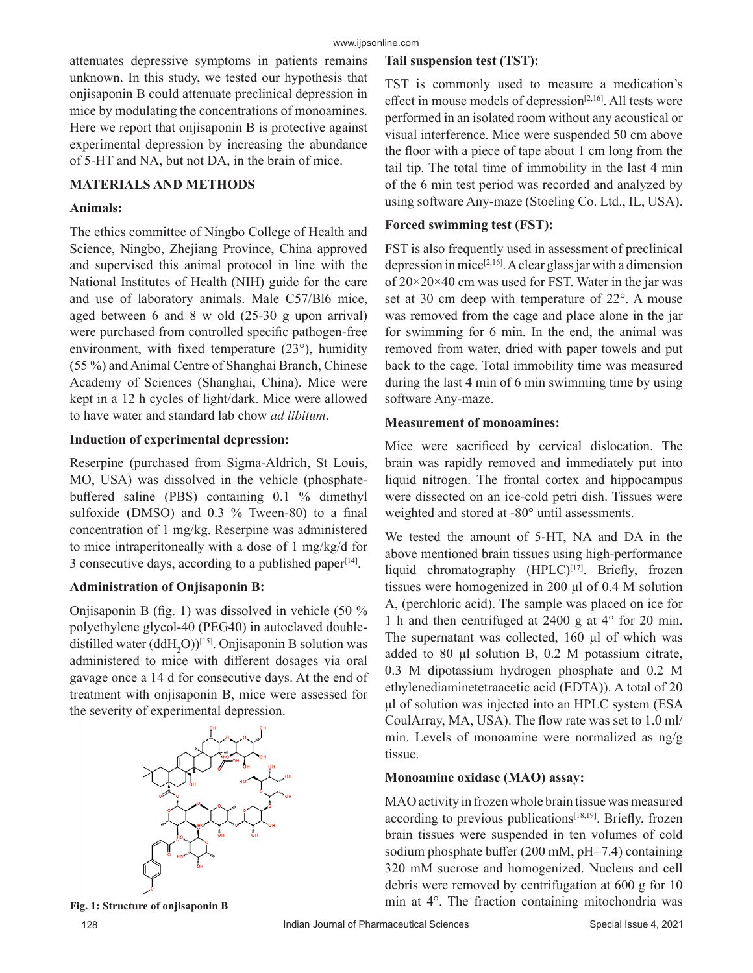attenuates depressive symptoms in patients remains unknown. In this study, we tested our hypothesis that onjisaponin B could attenuate preclinical depression in mice by modulating the concentrations of monoamines. Here we report that onjisaponin B is protective against experimental depression by increasing the abundance of 5-HT and NA, but not DA, in the brain of mice.

### **MATERIALS AND METHODS**

#### **Animals:**

The ethics committee of Ningbo College of Health and Science, Ningbo, Zhejiang Province, China approved and supervised this animal protocol in line with the National Institutes of Health (NIH) guide for the care and use of laboratory animals. Male C57/Bl6 mice, aged between 6 and 8 w old (25-30 g upon arrival) were purchased from controlled specific pathogen-free environment, with fixed temperature (23°), humidity (55 %) and Animal Centre of Shanghai Branch, Chinese Academy of Sciences (Shanghai, China). Mice were kept in a 12 h cycles of light/dark. Mice were allowed to have water and standard lab chow *ad libitum*.

#### **Induction of experimental depression:**

Reserpine (purchased from Sigma-Aldrich, St Louis, MO, USA) was dissolved in the vehicle (phosphatebuffered saline (PBS) containing 0.1 % dimethyl sulfoxide (DMSO) and 0.3 % Tween-80) to a final concentration of 1 mg/kg. Reserpine was administered to mice intraperitoneally with a dose of 1 mg/kg/d for 3 consecutive days, according to a published paper $[14]$ .

# **Administration of Onjisaponin B:**

Onjisaponin B (fig. 1) was dissolved in vehicle (50 % polyethylene glycol-40 (PEG40) in autoclaved doubledistilled water  $(ddH_2O)^{[15]}$ . Onjisaponin B solution was administered to mice with different dosages via oral gavage once a 14 d for consecutive days. At the end of treatment with onjisaponin B, mice were assessed for the severity of experimental depression.



# **Tail suspension test (TST):**

TST is commonly used to measure a medication's effect in mouse models of depression<sup>[2,16]</sup>. All tests were performed in an isolated room without any acoustical or visual interference. Mice were suspended 50 cm above the floor with a piece of tape about 1 cm long from the tail tip. The total time of immobility in the last 4 min of the 6 min test period was recorded and analyzed by using software Any-maze (Stoeling Co. Ltd., IL, USA).

### **Forced swimming test (FST):**

FST is also frequently used in assessment of preclinical depression in mice<sup>[2,16]</sup>. A clear glass jar with a dimension of 20×20×40 cm was used for FST. Water in the jar was set at 30 cm deep with temperature of 22°. A mouse was removed from the cage and place alone in the jar for swimming for 6 min. In the end, the animal was removed from water, dried with paper towels and put back to the cage. Total immobility time was measured during the last 4 min of 6 min swimming time by using software Any-maze.

#### **Measurement of monoamines:**

Mice were sacrificed by cervical dislocation. The brain was rapidly removed and immediately put into liquid nitrogen. The frontal cortex and hippocampus were dissected on an ice-cold petri dish. Tissues were weighted and stored at -80° until assessments.

We tested the amount of 5-HT, NA and DA in the above mentioned brain tissues using high-performance liquid chromatography (HPLC)<sup>[17]</sup>. Briefly, frozen tissues were homogenized in 200 μl of 0.4 M solution A, (perchloric acid). The sample was placed on ice for 1 h and then centrifuged at 2400 g at 4° for 20 min. The supernatant was collected, 160 μl of which was added to 80 μl solution B, 0.2 M potassium citrate, 0.3 M dipotassium hydrogen phosphate and 0.2 M ethylenediaminetetraacetic acid (EDTA)). A total of 20 μl of solution was injected into an HPLC system (ESA CoulArray, MA, USA). The flow rate was set to 1.0 ml/ min. Levels of monoamine were normalized as ng/g tissue.

# **Monoamine oxidase (MAO) assay:**

MAO activity in frozen whole brain tissue was measured according to previous publications $[18,19]$ . Briefly, frozen brain tissues were suspended in ten volumes of cold sodium phosphate buffer (200 mM, pH=7.4) containing 320 mM sucrose and homogenized. Nucleus and cell debris were removed by centrifugation at 600 g for 10 Fig. 1: Structure of onjisaponin B min at 4°. The fraction containing mitochondria was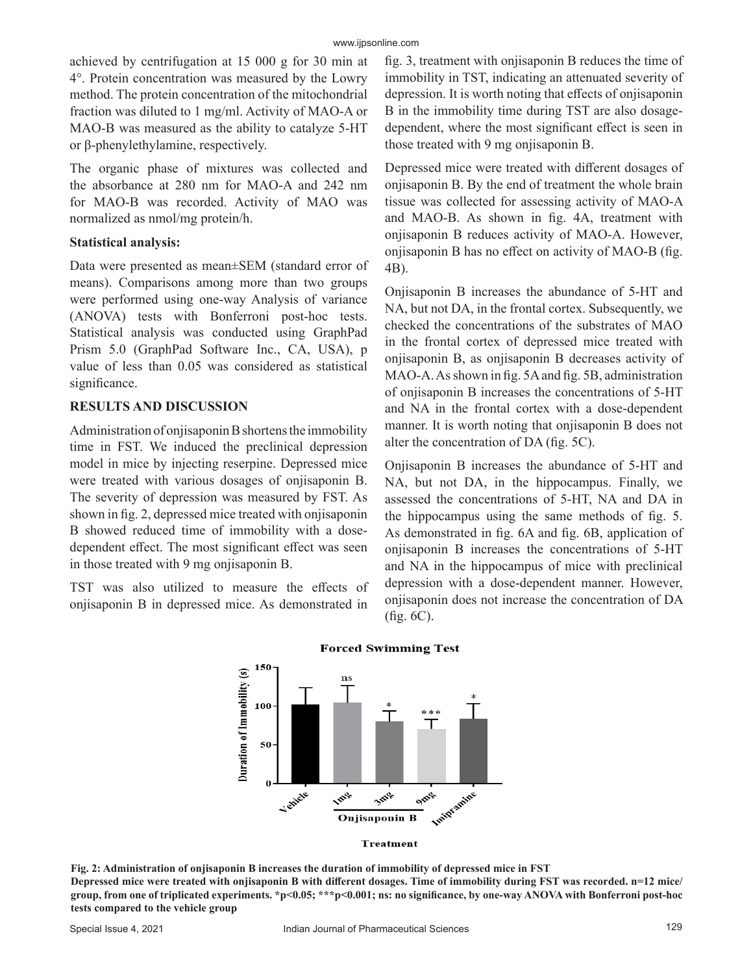achieved by centrifugation at 15 000 g for 30 min at 4°. Protein concentration was measured by the Lowry method. The protein concentration of the mitochondrial fraction was diluted to 1 mg/ml. Activity of MAO-A or MAO-B was measured as the ability to catalyze 5-HT or β-phenylethylamine, respectively.

The organic phase of mixtures was collected and the absorbance at 280 nm for MAO-A and 242 nm for MAO-B was recorded. Activity of MAO was normalized as nmol/mg protein/h.

#### **Statistical analysis:**

Data were presented as mean±SEM (standard error of means). Comparisons among more than two groups were performed using one-way Analysis of variance (ANOVA) tests with Bonferroni post-hoc tests. Statistical analysis was conducted using GraphPad Prism 5.0 (GraphPad Software Inc., CA, USA), p value of less than 0.05 was considered as statistical significance.

# **RESULTS AND DISCUSSION**

Administration of onjisaponin B shortens the immobility time in FST. We induced the preclinical depression model in mice by injecting reserpine. Depressed mice were treated with various dosages of onjisaponin B. The severity of depression was measured by FST. As shown in fig. 2, depressed mice treated with onjisaponin B showed reduced time of immobility with a dosedependent effect. The most significant effect was seen in those treated with 9 mg onjisaponin B.

TST was also utilized to measure the effects of onjisaponin B in depressed mice. As demonstrated in fig. 3, treatment with onjisaponin B reduces the time of immobility in TST, indicating an attenuated severity of depression. It is worth noting that effects of onjisaponin B in the immobility time during TST are also dosagedependent, where the most significant effect is seen in those treated with 9 mg onjisaponin B.

Depressed mice were treated with different dosages of onjisaponin B. By the end of treatment the whole brain tissue was collected for assessing activity of MAO-A and MAO-B. As shown in fig. 4A, treatment with onjisaponin B reduces activity of MAO-A. However, onjisaponin B has no effect on activity of MAO-B (fig. 4B).

Onjisaponin B increases the abundance of 5-HT and NA, but not DA, in the frontal cortex. Subsequently, we checked the concentrations of the substrates of MAO in the frontal cortex of depressed mice treated with onjisaponin B, as onjisaponin B decreases activity of MAO-A. As shown in fig. 5A and fig. 5B, administration of onjisaponin B increases the concentrations of 5-HT and NA in the frontal cortex with a dose-dependent manner. It is worth noting that onjisaponin B does not alter the concentration of DA (fig. 5C).

Onjisaponin B increases the abundance of 5-HT and NA, but not DA, in the hippocampus. Finally, we assessed the concentrations of 5-HT, NA and DA in the hippocampus using the same methods of fig. 5. As demonstrated in fig. 6A and fig. 6B, application of onjisaponin B increases the concentrations of 5-HT and NA in the hippocampus of mice with preclinical depression with a dose-dependent manner. However, onjisaponin does not increase the concentration of DA (fig. 6C).



#### **Forced Swimming Test**

**Fig. 2: Administration of onjisaponin B increases the duration of immobility of depressed mice in FST Depressed mice were treated with onjisaponin B with different dosages. Time of immobility during FST was recorded. n=12 mice/ group, from one of triplicated experiments. \*p<0.05; \*\*\*p<0.001; ns: no significance, by one-way ANOVA with Bonferroni post-hoc tests compared to the vehicle group**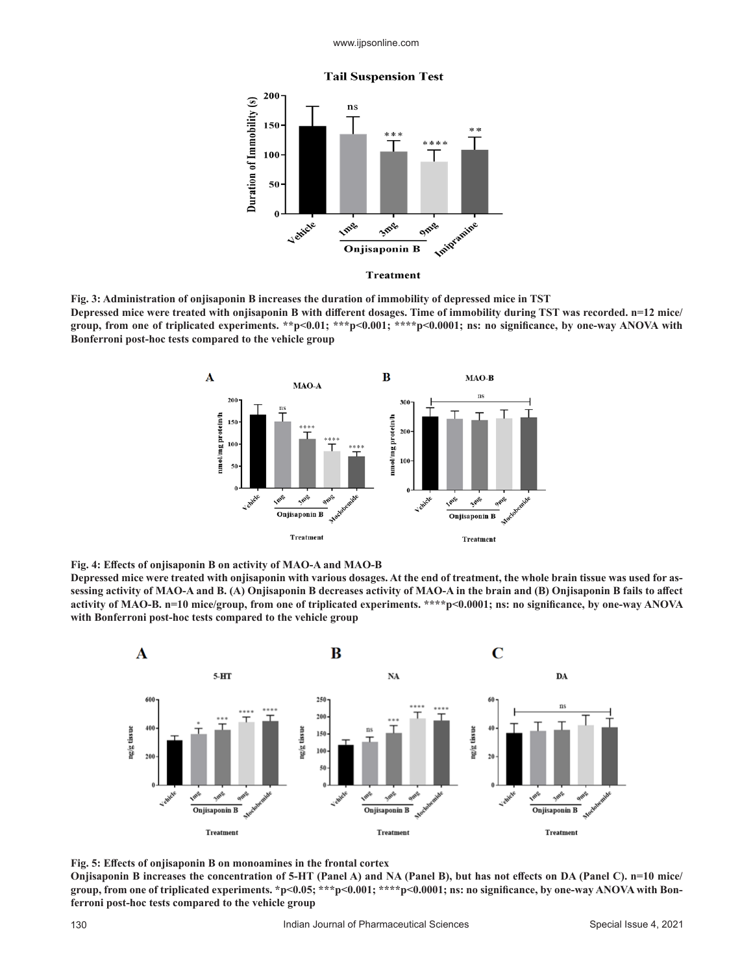www.ijpsonline.com





**Fig. 3: Administration of onjisaponin B increases the duration of immobility of depressed mice in TST Depressed mice were treated with onjisaponin B with different dosages. Time of immobility during TST was recorded. n=12 mice/ group, from one of triplicated experiments. \*\*p<0.01; \*\*\*p<0.001; \*\*\*\*p<0.0001; ns: no significance, by one-way ANOVA with Bonferroni post-hoc tests compared to the vehicle group**



**Fig. 4: Effects of onjisaponin B on activity of MAO-A and MAO-B**

**Depressed mice were treated with onjisaponin with various dosages. At the end of treatment, the whole brain tissue was used for assessing activity of MAO-A and B. (A) Onjisaponin B decreases activity of MAO-A in the brain and (B) Onjisaponin B fails to affect activity of MAO-B. n=10 mice/group, from one of triplicated experiments. \*\*\*\*p<0.0001; ns: no significance, by one-way ANOVA with Bonferroni post-hoc tests compared to the vehicle group**



**Fig. 5: Effects of onjisaponin B on monoamines in the frontal cortex**

**Onjisaponin B increases the concentration of 5-HT (Panel A) and NA (Panel B), but has not effects on DA (Panel C). n=10 mice/ group, from one of triplicated experiments. \*p<0.05; \*\*\*p<0.001; \*\*\*\*p<0.0001; ns: no significance, by one-way ANOVA with Bonferroni post-hoc tests compared to the vehicle group**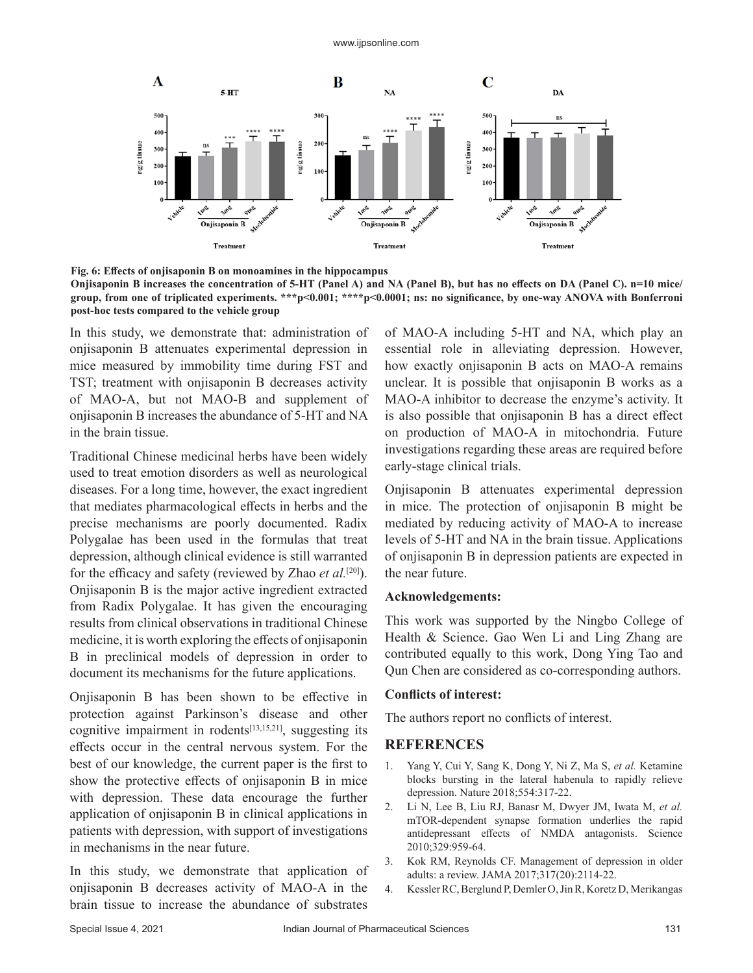

**Fig. 6: Effects of onjisaponin B on monoamines in the hippocampus**

**Onjisaponin B increases the concentration of 5-HT (Panel A) and NA (Panel B), but has no effects on DA (Panel C). n=10 mice/ group, from one of triplicated experiments. \*\*\*p<0.001; \*\*\*\*p<0.0001; ns: no significance, by one-way ANOVA with Bonferroni post-hoc tests compared to the vehicle group**

In this study, we demonstrate that: administration of onjisaponin B attenuates experimental depression in mice measured by immobility time during FST and TST; treatment with onjisaponin B decreases activity of MAO-A, but not MAO-B and supplement of onjisaponin B increases the abundance of 5-HT and NA in the brain tissue.

Traditional Chinese medicinal herbs have been widely used to treat emotion disorders as well as neurological diseases. For a long time, however, the exact ingredient that mediates pharmacological effects in herbs and the precise mechanisms are poorly documented. Radix Polygalae has been used in the formulas that treat depression, although clinical evidence is still warranted for the efficacy and safety (reviewed by Zhao *et al.*[20]). Onjisaponin B is the major active ingredient extracted from Radix Polygalae. It has given the encouraging results from clinical observations in traditional Chinese medicine, it is worth exploring the effects of onjisaponin B in preclinical models of depression in order to document its mechanisms for the future applications.

Onjisaponin B has been shown to be effective in protection against Parkinson's disease and other cognitive impairment in rodents $[13,15,21]$ , suggesting its effects occur in the central nervous system. For the best of our knowledge, the current paper is the first to show the protective effects of onjisaponin B in mice with depression. These data encourage the further application of onjisaponin B in clinical applications in patients with depression, with support of investigations in mechanisms in the near future.

In this study, we demonstrate that application of onjisaponin B decreases activity of MAO-A in the brain tissue to increase the abundance of substrates

of MAO-A including 5-HT and NA, which play an essential role in alleviating depression. However, how exactly onjisaponin B acts on MAO-A remains unclear. It is possible that onjisaponin B works as a MAO-A inhibitor to decrease the enzyme's activity. It is also possible that onjisaponin B has a direct effect on production of MAO-A in mitochondria. Future investigations regarding these areas are required before early-stage clinical trials.

Onjisaponin B attenuates experimental depression in mice. The protection of onjisaponin B might be mediated by reducing activity of MAO-A to increase levels of 5-HT and NA in the brain tissue. Applications of onjisaponin B in depression patients are expected in the near future.

#### **Acknowledgements:**

This work was supported by the Ningbo College of Health & Science. Gao Wen Li and Ling Zhang are contributed equally to this work, Dong Ying Tao and Qun Chen are considered as co-corresponding authors.

#### **Conflicts of interest:**

The authors report no conflicts of interest.

#### **REFERENCES**

- 1. Yang Y, Cui Y, Sang K, Dong Y, Ni Z, Ma S, *et al.* Ketamine blocks bursting in the lateral habenula to rapidly relieve depression. Nature 2018;554:317-22.
- 2. Li N, Lee B, Liu RJ, Banasr M, Dwyer JM, Iwata M, *et al.* mTOR-dependent synapse formation underlies the rapid antidepressant effects of NMDA antagonists. Science 2010;329:959-64.
- 3. Kok RM, Reynolds CF. Management of depression in older adults: a review. JAMA 2017;317(20):2114-22.
- 4. Kessler RC, Berglund P, Demler O, Jin R, Koretz D, Merikangas